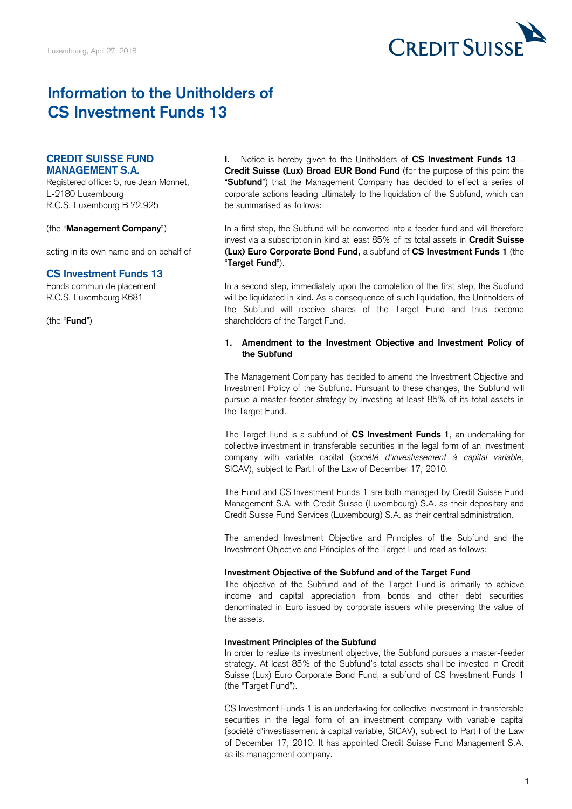

# **Information to the Unitholders of CS Investment Funds 13**

# **CREDIT SUISSE FUND MANAGEMENT S.A.**

Registered office: 5, rue Jean Monnet, L-2180 Luxembourg R.C.S. Luxembourg B 72.925

(the "**Management Company**")

acting in its own name and on behalf of

## **CS Investment Funds 13**

Fonds commun de placement R.C.S. Luxembourg K681

(the "**Fund**")

 $\mathbf{L}$  **Credit Suisse (Lux) Broad EUR Bond Fund** (for the purpose of this point the "**Subfund**") that the Management Company has decided to effect a series of corporate actions leading ultimately to the liquidation of the Subfund, which can **I.** Notice is hereby given to the Unitholders of **CS Investment Funds 13** – be summarised as follows:

 In a first step, the Subfund will be converted into a feeder fund and will therefore invest via a subscription in kind at least 85% of its total assets in **Credit Suisse (Lux) Euro Corporate Bond Fund**, a subfund of **CS Investment Funds 1** (the "**Target Fund**").

 In a second step, immediately upon the completion of the first step, the Subfund the Subfund will receive shares of the Target Fund and thus become will be liquidated in kind. As a consequence of such liquidation, the Unitholders of shareholders of the Target Fund.

## **1. Amendment to the Investment Objective and Investment Policy of the Subfund**

 The Management Company has decided to amend the Investment Objective and Investment Policy of the Subfund. Pursuant to these changes, the Subfund will pursue a master-feeder strategy by investing at least 85% of its total assets in the Target Fund.

 The Target Fund is a subfund of **CS Investment Funds 1**, an undertaking for collective investment in transferable securities in the legal form of an investment company with variable capital (*société d'investissement à capital variable*, SICAV), subject to Part I of the Law of December 17, 2010.

 The Fund and CS Investment Funds 1 are both managed by Credit Suisse Fund Management S.A. with Credit Suisse (Luxembourg) S.A. as their depositary and Credit Suisse Fund Services (Luxembourg) S.A. as their central administration.

 The amended Investment Objective and Principles of the Subfund and the Investment Objective and Principles of the Target Fund read as follows:

## **Investment Objective of the Subfund and of the Target Fund**

 The objective of the Subfund and of the Target Fund is primarily to achieve income and capital appreciation from bonds and other debt securities denominated in Euro issued by corporate issuers while preserving the value of the assets.

#### **Investment Principles of the Subfund**

 In order to realize its investment objective, the Subfund pursues a master-feeder strategy. At least 85% of the Subfund's total assets shall be invested in Credit Suisse (Lux) Euro Corporate Bond Fund, a subfund of CS Investment Funds 1 (the "Target Fund").

 CS Investment Funds 1 is an undertaking for collective investment in transferable securities in the legal form of an investment company with variable capital (société d'investissement à capital variable, SICAV), subject to Part I of the Law of December 17, 2010. It has appointed Credit Suisse Fund Management S.A. as its management company.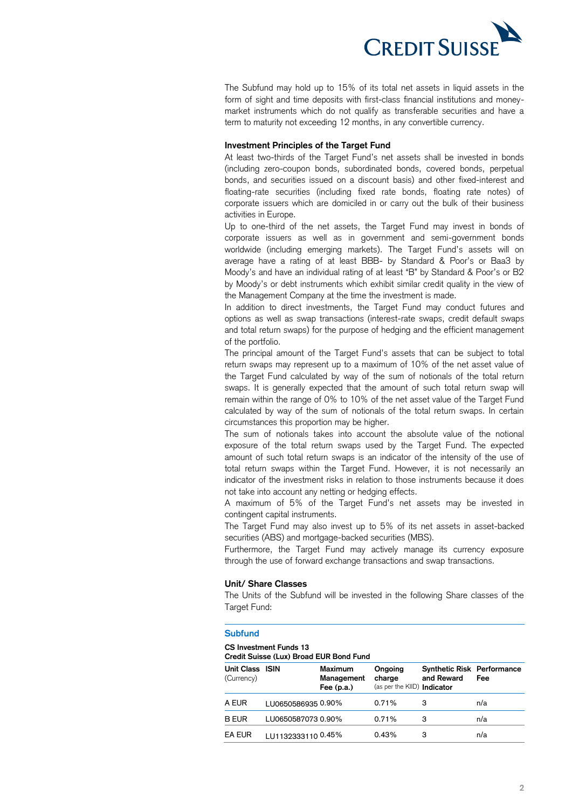

 The Subfund may hold up to 15% of its total net assets in liquid assets in the form of sight and time deposits with first-class financial institutions and money- market instruments which do not qualify as transferable securities and have a term to maturity not exceeding 12 months, in any convertible currency.

#### **Investment Principles of the Target Fund**

 At least two-thirds of the Target Fund's net assets shall be invested in bonds (including zero-coupon bonds, subordinated bonds, covered bonds, perpetual bonds, and securities issued on a discount basis) and other fixed-interest and floating-rate securities (including fixed rate bonds, floating rate notes) of corporate issuers which are domiciled in or carry out the bulk of their business activities in Europe.

 Up to one-third of the net assets, the Target Fund may invest in bonds of corporate issuers as well as in government and semi-government bonds worldwide (including emerging markets). The Target Fund's assets will on average have a rating of at least BBB- by Standard & Poor's or Baa3 by Moody's and have an individual rating of at least "B" by Standard & Poor's or B2 by Moody's or debt instruments which exhibit similar credit quality in the view of the Management Company at the time the investment is made.

the Management Company at the time the investment is made.<br>In addition to direct investments, the Target Fund may conduct futures and options as well as swap transactions (interest-rate swaps, credit default swaps and total return swaps) for the purpose of hedging and the efficient management of the portfolio.

 The principal amount of the Target Fund's assets that can be subject to total return swaps may represent up to a maximum of 10% of the net asset value of the Target Fund calculated by way of the sum of notionals of the total return swaps. It is generally expected that the amount of such total return swap will remain within the range of 0% to 10% of the net asset value of the Target Fund calculated by way of the sum of notionals of the total return swaps. In certain circumstances this proportion may be higher.

 The sum of notionals takes into account the absolute value of the notional exposure of the total return swaps used by the Target Fund. The expected amount of such total return swaps is an indicator of the intensity of the use of total return swaps within the Target Fund. However, it is not necessarily an indicator of the investment risks in relation to those instruments because it does not take into account any netting or hedging effects.

 A maximum of 5% of the Target Fund's net assets may be invested in contingent capital instruments.

 The Target Fund may also invest up to 5% of its net assets in asset-backed securities (ABS) and mortgage-backed securities (MBS).

 Furthermore, the Target Fund may actively manage its currency exposure through the use of forward exchange transactions and swap transactions.

#### **Unit/ Share Classes**

 The Units of the Subfund will be invested in the following Share classes of the Target Fund:

#### **Subfund**

## **CS Investment Funds 13**

 **Credit Suisse (Lux) Broad EUR Bond Fund** 

| Unit Class ISIN<br>(Currency) |                    | <b>Maximum</b><br>Management<br>Fee $(p.a.)$ | Ongoing<br>charge<br>(as per the KIID) Indicator | <b>Synthetic Risk Performance</b><br>and Reward | Fee |
|-------------------------------|--------------------|----------------------------------------------|--------------------------------------------------|-------------------------------------------------|-----|
| A EUR                         | LU0650586935 0.90% |                                              | 0.71%                                            | З                                               | n/a |
| <b>B EUR</b>                  | LU0650587073 0.90% |                                              | 0.71%                                            | з                                               | n/a |
| <b>EA EUR</b>                 | 11111323331100.45% |                                              | 0.43%                                            | з                                               | n/a |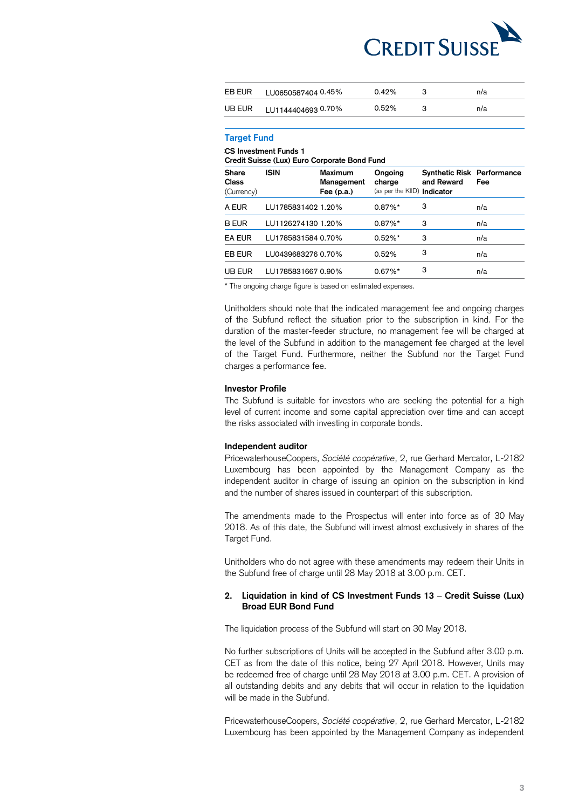

| EB EUR | LU0650587404 0.45% | 0.42% | n/a |
|--------|--------------------|-------|-----|
| UB EUR | LU1144404693 0.70% | 0.52% | n/a |

## **Target Fund**

**CCS Investment Funds 1** 

| Credit Suisse (Lux) Euro Corporate Bond Fund |                    |                                       |                                                         |                                                 |     |  |
|----------------------------------------------|--------------------|---------------------------------------|---------------------------------------------------------|-------------------------------------------------|-----|--|
| <b>Share</b><br>Class<br>(Currency)          | <b>ISIN</b>        | Maximum<br>Management<br>Fee $(p.a.)$ | Ongoing<br>charge<br>(as per the KIID) <b>Indicator</b> | <b>Synthetic Risk Performance</b><br>and Reward | Fee |  |
| A EUR                                        | LU1785831402 1.20% |                                       | $0.87\%$ *                                              | 3                                               | n/a |  |
| <b>B EUR</b>                                 | LU1126274130 1.20% |                                       | $0.87\%$ *                                              | 3                                               | n/a |  |
| <b>EA EUR</b>                                | LU1785831584 0.70% |                                       | $0.52\%$ *                                              | 3                                               | n/a |  |
| EB EUR                                       | LU0439683276 0.70% |                                       | 0.52%                                                   | 3                                               | n/a |  |
| UB EUR                                       | LU1785831667 0.90% |                                       | $0.67\%$ *                                              | 3                                               | n/a |  |

**\*** The ongoing charge figure is based on estimated expenses.

 Unitholders should note that the indicated management fee and ongoing charges of the Subfund reflect the situation prior to the subscription in kind. For the duration of the master-feeder structure, no management fee will be charged at the level of the Subfund in addition to the management fee charged at the level of the Target Fund. Furthermore, neither the Subfund nor the Target Fund charges a performance fee.

#### **Investor Profile**

 The Subfund is suitable for investors who are seeking the potential for a high level of current income and some capital appreciation over time and can accept the risks associated with investing in corporate bonds.

## **Independent auditor**

 PricewaterhouseCoopers, *Société coopérative*, 2, rue Gerhard Mercator, L-2182 Luxembourg has been appointed by the Management Company as the independent auditor in charge of issuing an opinion on the subscription in kind and the number of shares issued in counterpart of this subscription.

 The amendments made to the Prospectus will enter into force as of 30 May 2018. As of this date, the Subfund will invest almost exclusively in shares of the Target Fund.

 Unitholders who do not agree with these amendments may redeem their Units in the Subfund free of charge until 28 May 2018 at 3.00 p.m. CET.

### **2. Liquidation in kind of CS Investment Funds 13** – **Credit Suisse (Lux) Broad EUR Bond Fund**

The liquidation process of the Subfund will start on 30 May 2018.

 No further subscriptions of Units will be accepted in the Subfund after 3.00 p.m. CET as from the date of this notice, being 27 April 2018. However, Units may be redeemed free of charge until 28 May 2018 at 3.00 p.m. CET. A provision of all outstanding debits and any debits that will occur in relation to the liquidation will be made in the Subfund.

 PricewaterhouseCoopers, *Société coopérative*, 2, rue Gerhard Mercator, L-2182 Luxembourg has been appointed by the Management Company as independent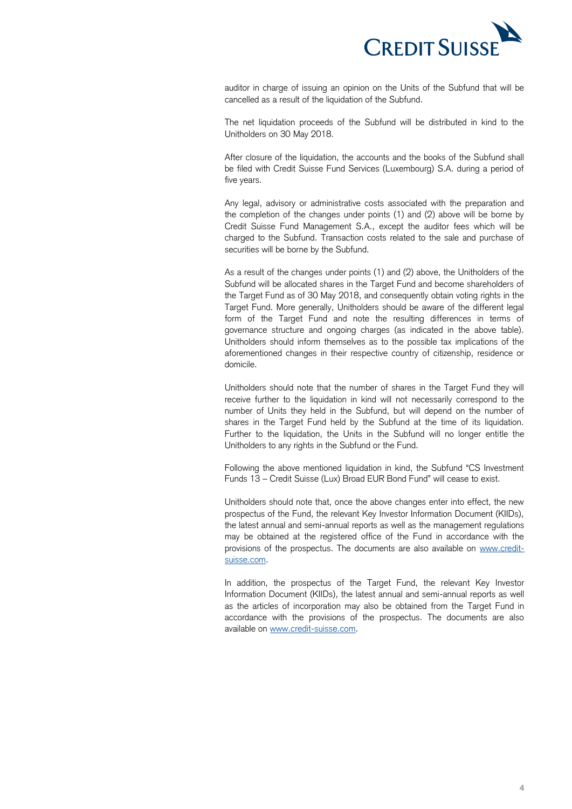

 auditor in charge of issuing an opinion on the Units of the Subfund that will be cancelled as a result of the liquidation of the Subfund.

 The net liquidation proceeds of the Subfund will be distributed in kind to the Unitholders on 30 May 2018.

 After closure of the liquidation, the accounts and the books of the Subfund shall be filed with Credit Suisse Fund Services (Luxembourg) S.A. during a period of five years.

 Any legal, advisory or administrative costs associated with the preparation and the completion of the changes under points (1) and (2) above will be borne by Credit Suisse Fund Management S.A., except the auditor fees which will be charged to the Subfund. Transaction costs related to the sale and purchase of securities will be borne by the Subfund.

 As a result of the changes under points (1) and (2) above, the Unitholders of the Subfund will be allocated shares in the Target Fund and become shareholders of the Target Fund as of 30 May 2018, and consequently obtain voting rights in the Target Fund. More generally, Unitholders should be aware of the different legal form of the Target Fund and note the resulting differences in terms of governance structure and ongoing charges (as indicated in the above table). Unitholders should inform themselves as to the possible tax implications of the aforementioned changes in their respective country of citizenship, residence or domicile.

 Unitholders should note that the number of shares in the Target Fund they will receive further to the liquidation in kind will not necessarily correspond to the number of Units they held in the Subfund, but will depend on the number of shares in the Target Fund held by the Subfund at the time of its liquidation. Further to the liquidation, the Units in the Subfund will no longer entitle the Unitholders to any rights in the Subfund or the Fund.

 Following the above mentioned liquidation in kind, the Subfund "CS Investment Funds 13 – Credit Suisse (Lux) Broad EUR Bond Fund" will cease to exist.

 Unitholders should note that, once the above changes enter into effect, the new prospectus of the Fund, the relevant Key Investor Information Document (KIIDs), the latest annual and semi-annual reports as well as the management regulations may be obtained at the registered office of the Fund in accordance with the provisions of the prospectus. The documents are also available on [www.credit](http://www.credit-suisse.com/)[suisse.com.](http://www.credit-suisse.com/)

 In addition, the prospectus of the Target Fund, the relevant Key Investor Information Document (KIIDs), the latest annual and semi-annual reports as well as the articles of incorporation may also be obtained from the Target Fund in accordance with the provisions of the prospectus. The documents are also available on [www.credit-suisse.com.](http://www.credit-suisse.com/)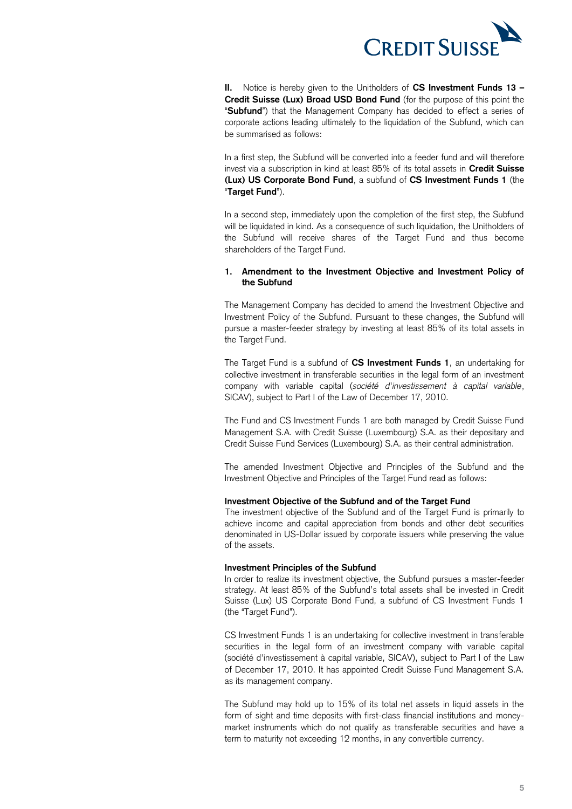

 **II.** Notice is hereby given to the Unitholders of **CS Investment Funds 13 – Credit Suisse (Lux) Broad USD Bond Fund** (for the purpose of this point the "**Subfund**") that the Management Company has decided to effect a series of corporate actions leading ultimately to the liquidation of the Subfund, which can be summarised as follows:

 In a first step, the Subfund will be converted into a feeder fund and will therefore invest via a subscription in kind at least 85% of its total assets in **Credit Suisse (Lux) US Corporate Bond Fund**, a subfund of **CS Investment Funds 1** (the "**Target Fund**").

 In a second step, immediately upon the completion of the first step, the Subfund the Subfund will receive shares of the Target Fund and thus become will be liquidated in kind. As a consequence of such liquidation, the Unitholders of shareholders of the Target Fund.

## **1. Amendment to the Investment Objective and Investment Policy of the Subfund**

 The Management Company has decided to amend the Investment Objective and Investment Policy of the Subfund. Pursuant to these changes, the Subfund will pursue a master-feeder strategy by investing at least 85% of its total assets in the Target Fund.

 The Target Fund is a subfund of **CS Investment Funds 1**, an undertaking for collective investment in transferable securities in the legal form of an investment company with variable capital (*société d'investissement à capital variable*, SICAV), subject to Part I of the Law of December 17, 2010.

 The Fund and CS Investment Funds 1 are both managed by Credit Suisse Fund Management S.A. with Credit Suisse (Luxembourg) S.A. as their depositary and Credit Suisse Fund Services (Luxembourg) S.A. as their central administration.

 The amended Investment Objective and Principles of the Subfund and the Investment Objective and Principles of the Target Fund read as follows:

#### **Investment Objective of the Subfund and of the Target Fund**

 The investment objective of the Subfund and of the Target Fund is primarily to achieve income and capital appreciation from bonds and other debt securities denominated in US-Dollar issued by corporate issuers while preserving the value of the assets.

#### **Investment Principles of the Subfund**

 In order to realize its investment objective, the Subfund pursues a master-feeder strategy. At least 85% of the Subfund's total assets shall be invested in Credit Suisse (Lux) US Corporate Bond Fund, a subfund of CS Investment Funds 1 (the "Target Fund").

 CS Investment Funds 1 is an undertaking for collective investment in transferable securities in the legal form of an investment company with variable capital (société d'investissement à capital variable, SICAV), subject to Part I of the Law of December 17, 2010. It has appointed Credit Suisse Fund Management S.A. as its management company.

 The Subfund may hold up to 15% of its total net assets in liquid assets in the form of sight and time deposits with first-class financial institutions and money- market instruments which do not qualify as transferable securities and have a term to maturity not exceeding 12 months, in any convertible currency.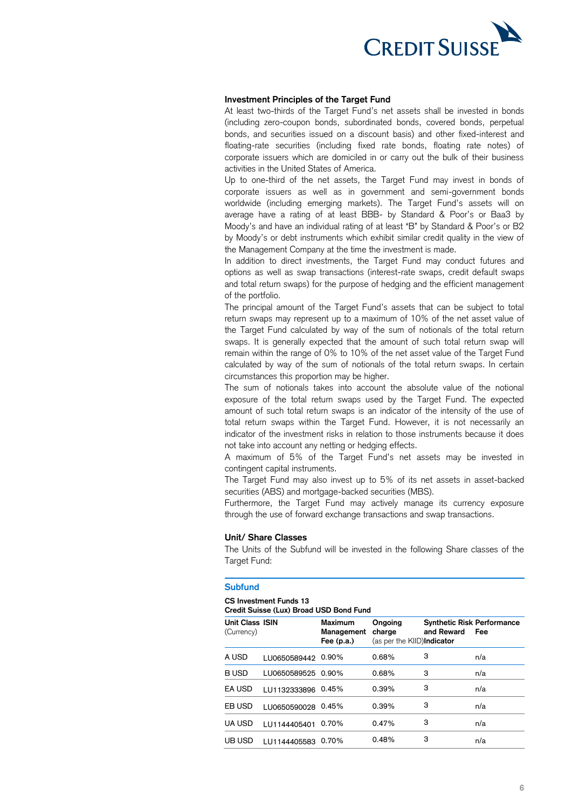

## **Investment Principles of the Target Fund**

 At least two-thirds of the Target Fund's net assets shall be invested in bonds (including zero-coupon bonds, subordinated bonds, covered bonds, perpetual bonds, and securities issued on a discount basis) and other fixed-interest and floating-rate securities (including fixed rate bonds, floating rate notes) of corporate issuers which are domiciled in or carry out the bulk of their business activities in the United States of America.

 Up to one-third of the net assets, the Target Fund may invest in bonds of corporate issuers as well as in government and semi-government bonds worldwide (including emerging markets). The Target Fund's assets will on average have a rating of at least BBB- by Standard & Poor's or Baa3 by Moody's and have an individual rating of at least "B" by Standard & Poor's or B2 by Moody's or debt instruments which exhibit similar credit quality in the view of the Management Company at the time the investment is made.

the Management Company at the time the investment is made.<br>In addition to direct investments, the Target Fund may conduct futures and options as well as swap transactions (interest-rate swaps, credit default swaps and total return swaps) for the purpose of hedging and the efficient management of the portfolio.

 The principal amount of the Target Fund's assets that can be subject to total return swaps may represent up to a maximum of 10% of the net asset value of the Target Fund calculated by way of the sum of notionals of the total return swaps. It is generally expected that the amount of such total return swap will remain within the range of 0% to 10% of the net asset value of the Target Fund calculated by way of the sum of notionals of the total return swaps. In certain circumstances this proportion may be higher.

 The sum of notionals takes into account the absolute value of the notional exposure of the total return swaps used by the Target Fund. The expected amount of such total return swaps is an indicator of the intensity of the use of total return swaps within the Target Fund. However, it is not necessarily an indicator of the investment risks in relation to those instruments because it does not take into account any netting or hedging effects.

 A maximum of 5% of the Target Fund's net assets may be invested in contingent capital instruments.

 The Target Fund may also invest up to 5% of its net assets in asset-backed securities (ABS) and mortgage-backed securities (MBS).

 Furthermore, the Target Fund may actively manage its currency exposure through the use of forward exchange transactions and swap transactions.

#### **Unit/ Share Classes**

 The Units of the Subfund will be invested in the following Share classes of the Target Fund:

#### **Subfund**

#### **CS Investment Funds 13**

 **Credit Suisse (Lux) Broad USD Bond Fund** 

| <b>Unit Class ISIN</b><br>(Currency) |                    | <b>Maximum</b><br>Management<br>Fee $(p.a.)$ | Ongoing<br>charge<br>(as per the KIID)Indicator | <b>Synthetic Risk Performance</b><br>and Reward | Fee |  |
|--------------------------------------|--------------------|----------------------------------------------|-------------------------------------------------|-------------------------------------------------|-----|--|
| A USD                                | LU0650589442       | 0.90%                                        | 0.68%                                           | 3                                               | n/a |  |
| <b>BUSD</b>                          | LU0650589525 0.90% |                                              | 0.68%                                           | 3                                               | n/a |  |
| EA USD                               | LU1132333896 0.45% |                                              | 0.39%                                           | 3                                               | n/a |  |
| EB USD                               | LU0650590028       | 0.45%                                        | 0.39%                                           | 3                                               | n/a |  |
| <b>UA USD</b>                        | LU1144405401       | 0.70%                                        | 0.47%                                           | 3                                               | n/a |  |
| UB USD                               | LU1144405583       | 0.70%                                        | 0.48%                                           | 3                                               | n/a |  |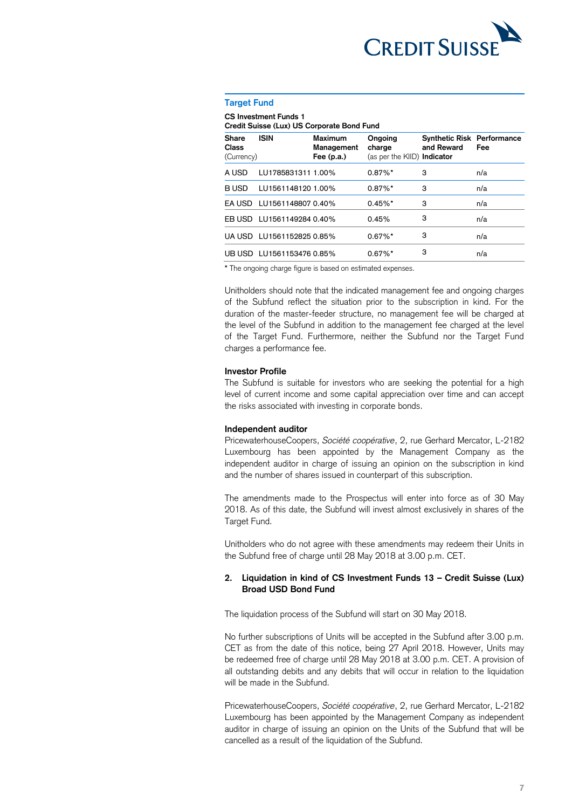

#### **Target Fund**

**CCS Investment Funds 1** 

| Credit Suisse (Lux) US Corporate Bond Fund |                           |                                       |                                                  |                                                 |     |  |
|--------------------------------------------|---------------------------|---------------------------------------|--------------------------------------------------|-------------------------------------------------|-----|--|
| <b>Share</b><br>Class<br>(Currency)        | <b>ISIN</b>               | Maximum<br>Management<br>Fee $(p.a.)$ | Ongoing<br>charge<br>(as per the KIID) Indicator | <b>Synthetic Risk Performance</b><br>and Reward | Fee |  |
| A USD                                      | LU1785831311 1.00%        |                                       | $0.87\%$ *                                       | 3                                               | n/a |  |
| B USD                                      | LU1561148120 1.00%        |                                       | $0.87\%$ *                                       | 3                                               | n/a |  |
|                                            | EA USD LU1561148807 0.40% |                                       | $0.45\%$ *                                       | 3                                               | n/a |  |
|                                            | EB USD LU1561149284 0.40% |                                       | 0.45%                                            | 3                                               | n/a |  |
|                                            | UA USD LU1561152825 0.85% |                                       | $0.67\%$ *                                       | 3                                               | n/a |  |
|                                            | UB USD LU1561153476 0.85% |                                       | $0.67\%$ *                                       | 3                                               | n/a |  |
|                                            |                           |                                       |                                                  |                                                 |     |  |

**\*** The ongoing charge figure is based on estimated expenses.

 Unitholders should note that the indicated management fee and ongoing charges of the Subfund reflect the situation prior to the subscription in kind. For the duration of the master-feeder structure, no management fee will be charged at the level of the Subfund in addition to the management fee charged at the level of the Target Fund. Furthermore, neither the Subfund nor the Target Fund charges a performance fee.

#### **Investor Profile**

 The Subfund is suitable for investors who are seeking the potential for a high level of current income and some capital appreciation over time and can accept the risks associated with investing in corporate bonds.

#### **Independent auditor**

 PricewaterhouseCoopers, *Société coopérative*, 2, rue Gerhard Mercator, L-2182 Luxembourg has been appointed by the Management Company as the independent auditor in charge of issuing an opinion on the subscription in kind and the number of shares issued in counterpart of this subscription.

 The amendments made to the Prospectus will enter into force as of 30 May 2018. As of this date, the Subfund will invest almost exclusively in shares of the Target Fund.

 Unitholders who do not agree with these amendments may redeem their Units in the Subfund free of charge until 28 May 2018 at 3.00 p.m. CET.

## **2. Liquidation in kind of CS Investment Funds 13 – Credit Suisse (Lux) Broad USD Bond Fund**

The liquidation process of the Subfund will start on 30 May 2018.

 No further subscriptions of Units will be accepted in the Subfund after 3.00 p.m. CET as from the date of this notice, being 27 April 2018. However, Units may be redeemed free of charge until 28 May 2018 at 3.00 p.m. CET. A provision of all outstanding debits and any debits that will occur in relation to the liquidation will be made in the Subfund.

 PricewaterhouseCoopers, *Société coopérative*, 2, rue Gerhard Mercator, L-2182 Luxembourg has been appointed by the Management Company as independent auditor in charge of issuing an opinion on the Units of the Subfund that will be cancelled as a result of the liquidation of the Subfund.